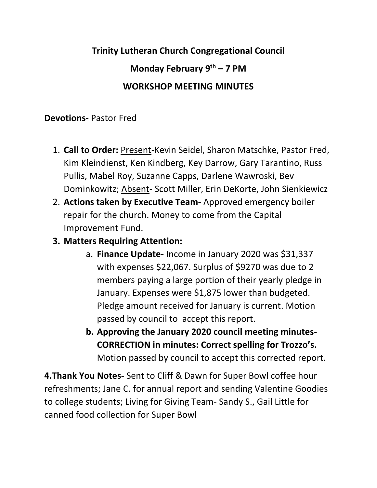## **Trinity Lutheran Church Congregational Council Monday February 9th – 7 PM WORKSHOP MEETING MINUTES**

## **Devotions-** Pastor Fred

- 1. **Call to Order:** Present-Kevin Seidel, Sharon Matschke, Pastor Fred, Kim Kleindienst, Ken Kindberg, Key Darrow, Gary Tarantino, Russ Pullis, Mabel Roy, Suzanne Capps, Darlene Wawroski, Bev Dominkowitz; Absent- Scott Miller, Erin DeKorte, John Sienkiewicz
- 2. **Actions taken by Executive Team-** Approved emergency boiler repair for the church. Money to come from the Capital Improvement Fund.
- **3. Matters Requiring Attention:**
	- a. **Finance Update-** Income in January 2020 was \$31,337 with expenses \$22,067. Surplus of \$9270 was due to 2 members paying a large portion of their yearly pledge in January. Expenses were \$1,875 lower than budgeted. Pledge amount received for January is current. Motion passed by council to accept this report.
	- **b. Approving the January 2020 council meeting minutes-CORRECTION in minutes: Correct spelling for Trozzo's.** Motion passed by council to accept this corrected report.

**4.Thank You Notes-** Sent to Cliff & Dawn for Super Bowl coffee hour refreshments; Jane C. for annual report and sending Valentine Goodies to college students; Living for Giving Team- Sandy S., Gail Little for canned food collection for Super Bowl